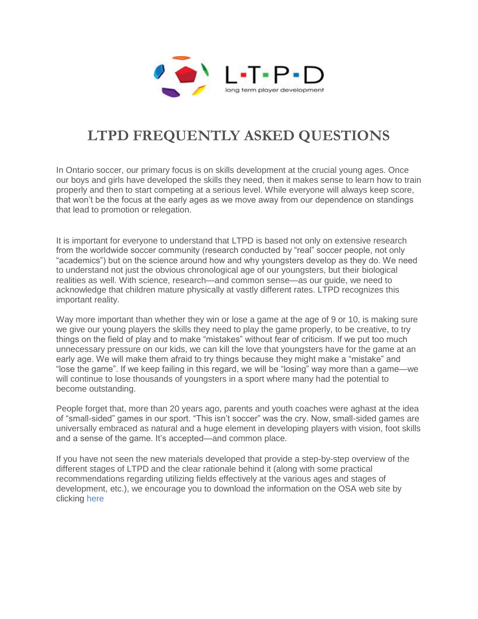

# **LTPD FREQUENTLY ASKED QUESTIONS**

In Ontario soccer, our primary focus is on skills development at the crucial young ages. Once our boys and girls have developed the skills they need, then it makes sense to learn how to train properly and then to start competing at a serious level. While everyone will always keep score, that won't be the focus at the early ages as we move away from our dependence on standings that lead to promotion or relegation.

It is important for everyone to understand that LTPD is based not only on extensive research from the worldwide soccer community (research conducted by "real" soccer people, not only "academics") but on the science around how and why youngsters develop as they do. We need to understand not just the obvious chronological age of our youngsters, but their biological realities as well. With science, research—and common sense—as our guide, we need to acknowledge that children mature physically at vastly different rates. LTPD recognizes this important reality.

Way more important than whether they win or lose a game at the age of 9 or 10, is making sure we give our young players the skills they need to play the game properly, to be creative, to try things on the field of play and to make "mistakes" without fear of criticism. If we put too much unnecessary pressure on our kids, we can kill the love that youngsters have for the game at an early age. We will make them afraid to try things because they might make a "mistake" and "lose the game". If we keep failing in this regard, we will be "losing" way more than a game—we will continue to lose thousands of youngsters in a sport where many had the potential to become outstanding.

People forget that, more than 20 years ago, parents and youth coaches were aghast at the idea of "small-sided" games in our sport. "This isn't soccer" was the cry. Now, small-sided games are universally embraced as natural and a huge element in developing players with vision, foot skills and a sense of the game. It's accepted—and common place.

If you have not seen the new materials developed that provide a step-by-step overview of the different stages of LTPD and the clear rationale behind it (along with some practical recommendations regarding utilizing fields effectively at the various ages and stages of development, etc.), we encourage you to download the information on the OSA web site by clicking [here](http://www.ontariosoccer.net/)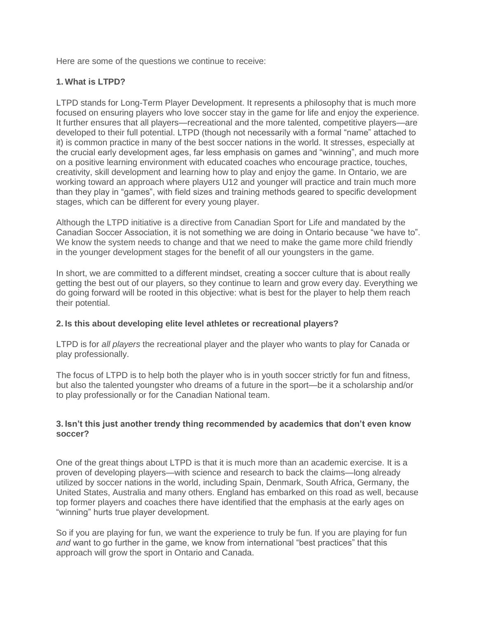Here are some of the questions we continue to receive:

# **1. What is LTPD?**

LTPD stands for Long-Term Player Development. It represents a philosophy that is much more focused on ensuring players who love soccer stay in the game for life and enjoy the experience. It further ensures that all players—recreational and the more talented, competitive players—are developed to their full potential. LTPD (though not necessarily with a formal "name" attached to it) is common practice in many of the best soccer nations in the world. It stresses, especially at the crucial early development ages, far less emphasis on games and "winning", and much more on a positive learning environment with educated coaches who encourage practice, touches, creativity, skill development and learning how to play and enjoy the game. In Ontario, we are working toward an approach where players U12 and younger will practice and train much more than they play in "games", with field sizes and training methods geared to specific development stages, which can be different for every young player.

Although the LTPD initiative is a directive from Canadian Sport for Life and mandated by the Canadian Soccer Association, it is not something we are doing in Ontario because "we have to". We know the system needs to change and that we need to make the game more child friendly in the younger development stages for the benefit of all our youngsters in the game.

In short, we are committed to a different mindset, creating a soccer culture that is about really getting the best out of our players, so they continue to learn and grow every day. Everything we do going forward will be rooted in this objective: what is best for the player to help them reach their potential.

# **2. Is this about developing elite level athletes or recreational players?**

LTPD is for *all players* the recreational player and the player who wants to play for Canada or play professionally.

The focus of LTPD is to help both the player who is in youth soccer strictly for fun and fitness, but also the talented youngster who dreams of a future in the sport—be it a scholarship and/or to play professionally or for the Canadian National team.

# **3. Isn't this just another trendy thing recommended by academics that don't even know soccer?**

One of the great things about LTPD is that it is much more than an academic exercise. It is a proven of developing players—with science and research to back the claims—long already utilized by soccer nations in the world, including Spain, Denmark, South Africa, Germany, the United States, Australia and many others. England has embarked on this road as well, because top former players and coaches there have identified that the emphasis at the early ages on "winning" hurts true player development.

So if you are playing for fun, we want the experience to truly be fun. If you are playing for fun *and* want to go further in the game, we know from international "best practices" that this approach will grow the sport in Ontario and Canada.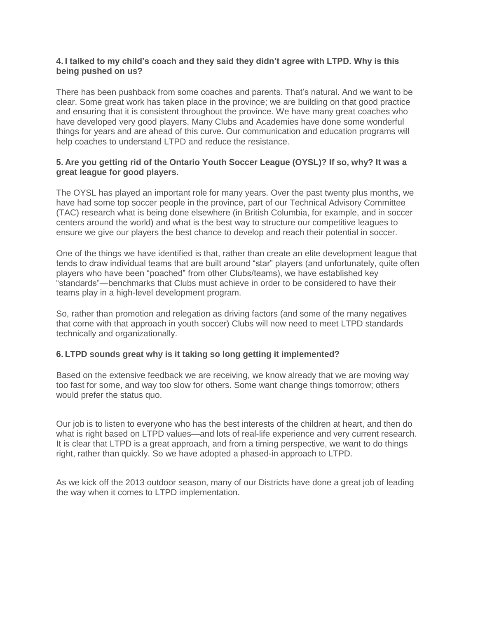# **4. I talked to my child's coach and they said they didn't agree with LTPD. Why is this being pushed on us?**

There has been pushback from some coaches and parents. That's natural. And we want to be clear. Some great work has taken place in the province; we are building on that good practice and ensuring that it is consistent throughout the province. We have many great coaches who have developed very good players. Many Clubs and Academies have done some wonderful things for years and are ahead of this curve. Our communication and education programs will help coaches to understand LTPD and reduce the resistance.

# **5. Are you getting rid of the Ontario Youth Soccer League (OYSL)? If so, why? It was a great league for good players.**

The OYSL has played an important role for many years. Over the past twenty plus months, we have had some top soccer people in the province, part of our Technical Advisory Committee (TAC) research what is being done elsewhere (in British Columbia, for example, and in soccer centers around the world) and what is the best way to structure our competitive leagues to ensure we give our players the best chance to develop and reach their potential in soccer.

One of the things we have identified is that, rather than create an elite development league that tends to draw individual teams that are built around "star" players (and unfortunately, quite often players who have been "poached" from other Clubs/teams), we have established key "standards"—benchmarks that Clubs must achieve in order to be considered to have their teams play in a high-level development program.

So, rather than promotion and relegation as driving factors (and some of the many negatives that come with that approach in youth soccer) Clubs will now need to meet LTPD standards technically and organizationally.

# **6. LTPD sounds great why is it taking so long getting it implemented?**

Based on the extensive feedback we are receiving, we know already that we are moving way too fast for some, and way too slow for others. Some want change things tomorrow; others would prefer the status quo.

Our job is to listen to everyone who has the best interests of the children at heart, and then do what is right based on LTPD values—and lots of real-life experience and very current research. It is clear that LTPD is a great approach, and from a timing perspective, we want to do things right, rather than quickly. So we have adopted a phased-in approach to LTPD.

As we kick off the 2013 outdoor season, many of our Districts have done a great job of leading the way when it comes to LTPD implementation.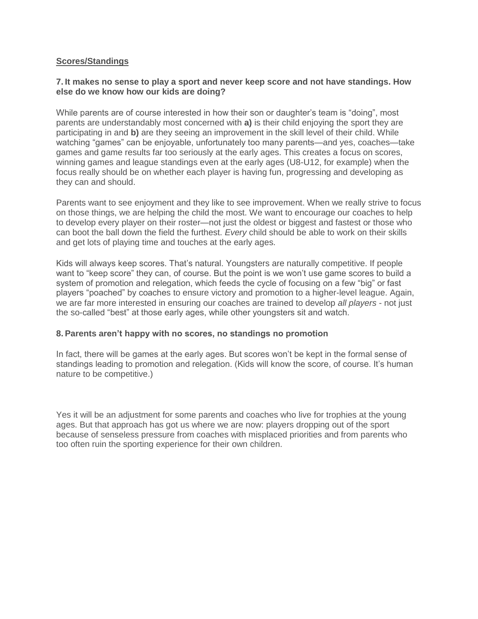# **Scores/Standings**

#### **7. It makes no sense to play a sport and never keep score and not have standings. How else do we know how our kids are doing?**

While parents are of course interested in how their son or daughter's team is "doing", most parents are understandably most concerned with **a)** is their child enjoying the sport they are participating in and **b)** are they seeing an improvement in the skill level of their child. While watching "games" can be enjoyable, unfortunately too many parents—and yes, coaches—take games and game results far too seriously at the early ages. This creates a focus on scores, winning games and league standings even at the early ages (U8-U12, for example) when the focus really should be on whether each player is having fun, progressing and developing as they can and should.

Parents want to see enjoyment and they like to see improvement. When we really strive to focus on those things, we are helping the child the most. We want to encourage our coaches to help to develop every player on their roster—not just the oldest or biggest and fastest or those who can boot the ball down the field the furthest. *Every* child should be able to work on their skills and get lots of playing time and touches at the early ages.

Kids will always keep scores. That's natural. Youngsters are naturally competitive. If people want to "keep score" they can, of course. But the point is we won't use game scores to build a system of promotion and relegation, which feeds the cycle of focusing on a few "big" or fast players "poached" by coaches to ensure victory and promotion to a higher-level league. Again, we are far more interested in ensuring our coaches are trained to develop *all players* - not just the so-called "best" at those early ages, while other youngsters sit and watch.

#### **8. Parents aren't happy with no scores, no standings no promotion**

In fact, there will be games at the early ages. But scores won't be kept in the formal sense of standings leading to promotion and relegation. (Kids will know the score, of course. It's human nature to be competitive.)

Yes it will be an adjustment for some parents and coaches who live for trophies at the young ages. But that approach has got us where we are now: players dropping out of the sport because of senseless pressure from coaches with misplaced priorities and from parents who too often ruin the sporting experience for their own children.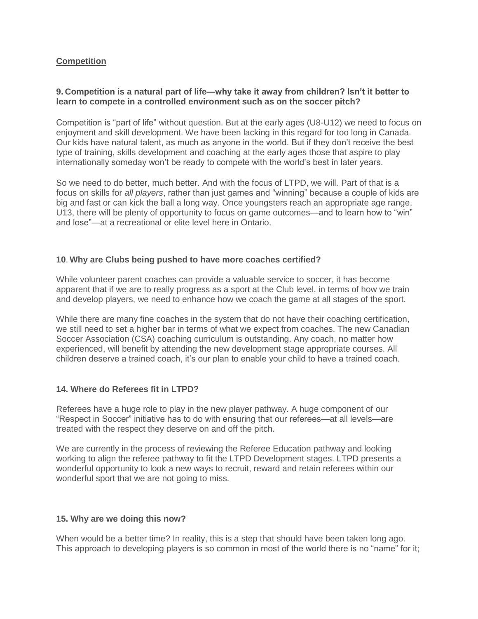# **Competition**

# **9. Competition is a natural part of life—why take it away from children? Isn't it better to learn to compete in a controlled environment such as on the soccer pitch?**

Competition is "part of life" without question. But at the early ages (U8-U12) we need to focus on enjoyment and skill development. We have been lacking in this regard for too long in Canada. Our kids have natural talent, as much as anyone in the world. But if they don't receive the best type of training, skills development and coaching at the early ages those that aspire to play internationally someday won't be ready to compete with the world's best in later years.

So we need to do better, much better. And with the focus of LTPD, we will. Part of that is a focus on skills for *all players*, rather than just games and "winning" because a couple of kids are big and fast or can kick the ball a long way. Once youngsters reach an appropriate age range, U13, there will be plenty of opportunity to focus on game outcomes—and to learn how to "win" and lose"—at a recreational or elite level here in Ontario.

# **10**. **Why are Clubs being pushed to have more coaches certified?**

While volunteer parent coaches can provide a valuable service to soccer, it has become apparent that if we are to really progress as a sport at the Club level, in terms of how we train and develop players, we need to enhance how we coach the game at all stages of the sport.

While there are many fine coaches in the system that do not have their coaching certification, we still need to set a higher bar in terms of what we expect from coaches. The new Canadian Soccer Association (CSA) coaching curriculum is outstanding. Any coach, no matter how experienced, will benefit by attending the new development stage appropriate courses. All children deserve a trained coach, it's our plan to enable your child to have a trained coach.

# **14. Where do Referees fit in LTPD?**

Referees have a huge role to play in the new player pathway. A huge component of our "Respect in Soccer" initiative has to do with ensuring that our referees—at all levels—are treated with the respect they deserve on and off the pitch.

We are currently in the process of reviewing the Referee Education pathway and looking working to align the referee pathway to fit the LTPD Development stages. LTPD presents a wonderful opportunity to look a new ways to recruit, reward and retain referees within our wonderful sport that we are not going to miss.

# **15. Why are we doing this now?**

When would be a better time? In reality, this is a step that should have been taken long ago. This approach to developing players is so common in most of the world there is no "name" for it;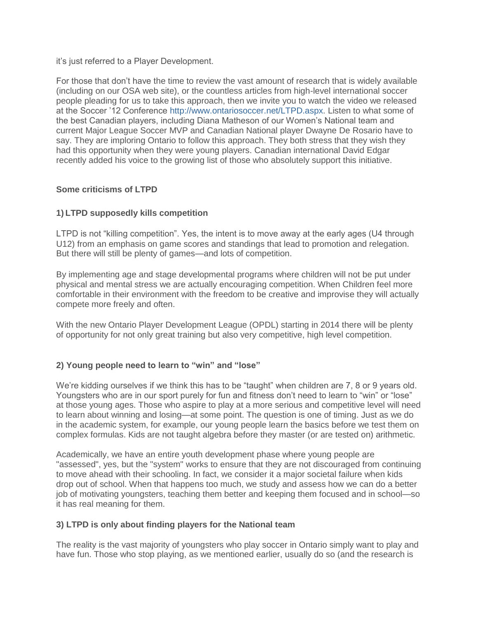it's just referred to a Player Development.

For those that don't have the time to review the vast amount of research that is widely available (including on our OSA web site), or the countless articles from high-level international soccer people pleading for us to take this approach, then we invite you to watch the video we released at the Soccer '12 Conference [http://www.ontariosoccer.net/LTPD.aspx.](http://www.ontariosoccer.net/LTPD.aspx) Listen to what some of the best Canadian players, including Diana Matheson of our Women's National team and current Major League Soccer MVP and Canadian National player Dwayne De Rosario have to say. They are imploring Ontario to follow this approach. They both stress that they wish they had this opportunity when they were young players. Canadian international David Edgar recently added his voice to the growing list of those who absolutely support this initiative.

# **Some criticisms of LTPD**

# **1) LTPD supposedly kills competition**

LTPD is not "killing competition". Yes, the intent is to move away at the early ages (U4 through U12) from an emphasis on game scores and standings that lead to promotion and relegation. But there will still be plenty of games—and lots of competition.

By implementing age and stage developmental programs where children will not be put under physical and mental stress we are actually encouraging competition. When Children feel more comfortable in their environment with the freedom to be creative and improvise they will actually compete more freely and often.

With the new Ontario Player Development League (OPDL) starting in 2014 there will be plenty of opportunity for not only great training but also very competitive, high level competition.

# **2) Young people need to learn to "win" and "lose"**

We're kidding ourselves if we think this has to be "taught" when children are 7, 8 or 9 years old. Youngsters who are in our sport purely for fun and fitness don't need to learn to "win" or "lose" at those young ages. Those who aspire to play at a more serious and competitive level will need to learn about winning and losing—at some point. The question is one of timing. Just as we do in the academic system, for example, our young people learn the basics before we test them on complex formulas. Kids are not taught algebra before they master (or are tested on) arithmetic.

Academically, we have an entire youth development phase where young people are "assessed", yes, but the "system" works to ensure that they are not discouraged from continuing to move ahead with their schooling. In fact, we consider it a major societal failure when kids drop out of school. When that happens too much, we study and assess how we can do a better job of motivating youngsters, teaching them better and keeping them focused and in school—so it has real meaning for them.

# **3) LTPD is only about finding players for the National team**

The reality is the vast majority of youngsters who play soccer in Ontario simply want to play and have fun. Those who stop playing, as we mentioned earlier, usually do so (and the research is